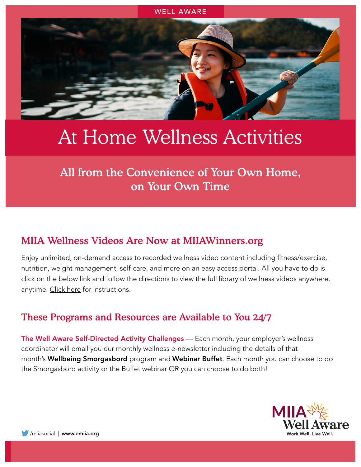

# At Home Wellness Activities

All from the Convenience of Your Own Home, on Your Own Time

## MIIA Wellness Videos Are Now at [MIIAWinners.org](https://www.miiawinners.org/)

Enjoy unlimited, on-demand access to recorded wellness video content including fitness/exercise, nutrition, weight management, self-care, and more on an easy access portal. All you have to do is click on the below link and follow the directions to view the full library of wellness videos anywhere, anytime. [Click here](https://www.emiia.org/writable/files/miia_wellness_videos_have_moved_6-22-21.pdf) for instructions.

### These Programs and Resources are Available to You 24/7

The Well Aware Self-Directed Activity Challenges - Each month, your employer's wellness coordinator will email you our monthly wellness e-newsletter including the details of that month's **Wellbeing Smorgasbord** program and **Webinar Buffet**. Each month you can choose to do the Smorgasbord activity or the Buffet webinar OR you can choose to do both!

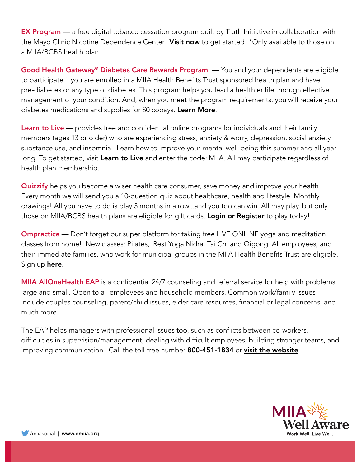**EX Program** — a free digital tobacco cessation program built by Truth Initiative in collaboration with the Mayo Clinic Nicotine Dependence Center. [Visit now](https://www.emiia.org/writable/files/Wellness/exp-bettertogether-flyer_miia.pdf) to get started! \*Only available to those on a MIIA/BCBS health plan.

Good Health Gateway<sup>®</sup> Diabetes Care Rewards Program — You and your dependents are eligible to participate if you are enrolled in a MIIA Health Benefits Trust sponsored health plan and have pre-diabetes or any type of diabetes. This program helps you lead a healthier life through effective management of your condition. And, when you meet the program requirements, you will receive your diabetes medications and supplies for \$0 copays. [Learn More](https://www.emiia.org/writable/files/Wellness/miia_program_req_2021.pdf).

Learn to Live — provides free and confidential online programs for individuals and their family members (ages 13 or older) who are experiencing stress, anxiety & worry, depression, social anxiety, substance use, and insomnia. Learn how to improve your mental well-being this summer and all year long. To get started, visit [Learn to Live](https://www.learntolive.com/how-we-can-help) and enter the code: MIIA. All may participate regardless of health plan membership.

**Quizzify** helps you become a wiser health care consumer, save money and improve your health! Every month we will send you a 10-question quiz about healthcare, health and lifestyle. Monthly drawings! All you have to do is play 3 months in a row...and you too can win. All may play, but only those on MIIA/BCBS health plans are eligible for gift cards. [Login or Register](https://www.emiia.org/writable/documents/files/quizzify_2020flier.jpg) to play today!

**Ompractice** — Don't forget our super platform for taking free LIVE ONLINE yoga and meditation classes from home! New classes: Pilates, iRest Yoga Nidra, Tai Chi and Qigong. All employees, and their immediate families, who work for municipal groups in the MIIA Health Benefits Trust are eligible. Sign up **[here](https://www.emiia.org/writable/files/ompractice_flyer_miia_2.pdf)**.

**MIIA AllOneHealth EAP** is a confidential 24/7 counseling and referral service for help with problems large and small. Open to all employees and household members. Common work/family issues include couples counseling, parent/child issues, elder care resources, financial or legal concerns, and much more.

The EAP helps managers with professional issues too, such as conflicts between co-workers, difficulties in supervision/management, dealing with difficult employees, building stronger teams, and improving communication. Call the toll-free number 800-451-1834 or [visit the website](https://allonehealth.com/miiaeap-2/).